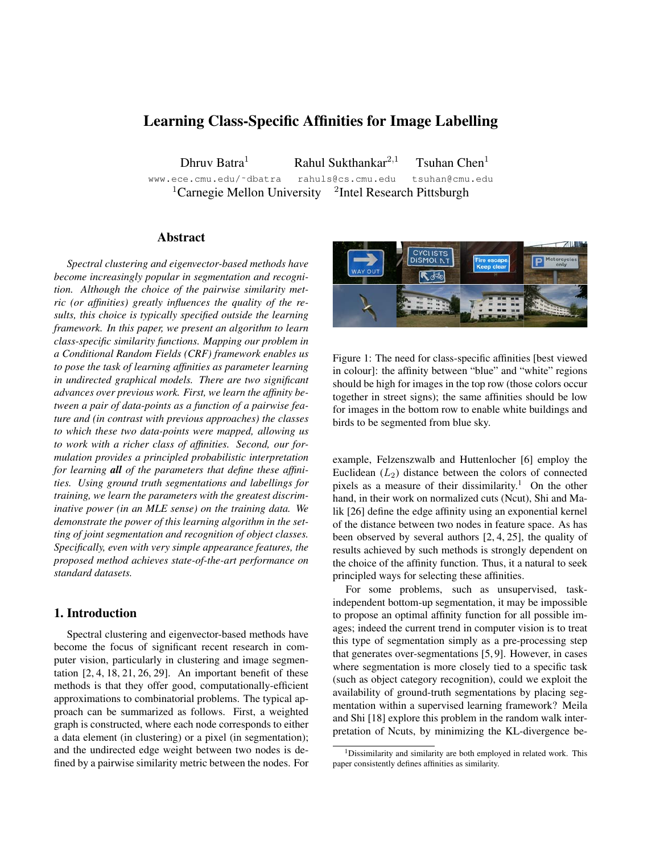# Learning Class-Specific Affinities for Image Labelling

Dhruv Batra<sup>1</sup> Rahul Sukthankar<sup>2,1</sup> Tsuhan Chen<sup>1</sup> www.ece.cmu.edu/˜dbatra rahuls@cs.cmu.edu tsuhan@cmu.edu  ${}^{1}$ Carnegie Mellon University  ${}^{2}$ Intel Research Pittsburgh

# Abstract

*Spectral clustering and eigenvector-based methods have become increasingly popular in segmentation and recognition. Although the choice of the pairwise similarity metric (or affinities) greatly influences the quality of the results, this choice is typically specified outside the learning framework. In this paper, we present an algorithm to learn class-specific similarity functions. Mapping our problem in a Conditional Random Fields (CRF) framework enables us to pose the task of learning affinities as parameter learning in undirected graphical models. There are two significant advances over previous work. First, we learn the affinity between a pair of data-points as a function of a pairwise feature and (in contrast with previous approaches) the classes to which these two data-points were mapped, allowing us to work with a richer class of affinities. Second, our formulation provides a principled probabilistic interpretation for learning all of the parameters that define these affinities. Using ground truth segmentations and labellings for training, we learn the parameters with the greatest discriminative power (in an MLE sense) on the training data. We demonstrate the power of this learning algorithm in the setting of joint segmentation and recognition of object classes. Specifically, even with very simple appearance features, the proposed method achieves state-of-the-art performance on standard datasets.*

# 1. Introduction

Spectral clustering and eigenvector-based methods have become the focus of significant recent research in computer vision, particularly in clustering and image segmentation  $[2, 4, 18, 21, 26, 29]$ . An important benefit of these methods is that they offer good, computationally-efficient approximations to combinatorial problems. The typical approach can be summarized as follows. First, a weighted graph is constructed, where each node corresponds to either a data element (in clustering) or a pixel (in segmentation); and the undirected edge weight between two nodes is defined by a pairwise similarity metric between the nodes. For



Figure 1: The need for class-specific affinities [best viewed in colour]: the affinity between "blue" and "white" regions should be high for images in the top row (those colors occur together in street signs); the same affinities should be low for images in the bottom row to enable white buildings and birds to be segmented from blue sky.

example, Felzenszwalb and Huttenlocher [6] employ the Euclidean  $(L_2)$  distance between the colors of connected pixels as a measure of their dissimilarity.<sup>1</sup> On the other hand, in their work on normalized cuts (Ncut), Shi and Malik [26] define the edge affinity using an exponential kernel of the distance between two nodes in feature space. As has been observed by several authors [2, 4, 25], the quality of results achieved by such methods is strongly dependent on the choice of the affinity function. Thus, it a natural to seek principled ways for selecting these affinities.

For some problems, such as unsupervised, taskindependent bottom-up segmentation, it may be impossible to propose an optimal affinity function for all possible images; indeed the current trend in computer vision is to treat this type of segmentation simply as a pre-processing step that generates over-segmentations [5, 9]. However, in cases where segmentation is more closely tied to a specific task (such as object category recognition), could we exploit the availability of ground-truth segmentations by placing segmentation within a supervised learning framework? Meila and Shi [18] explore this problem in the random walk interpretation of Ncuts, by minimizing the KL-divergence be-

<sup>&</sup>lt;sup>1</sup>Dissimilarity and similarity are both employed in related work. This paper consistently defines affinities as similarity.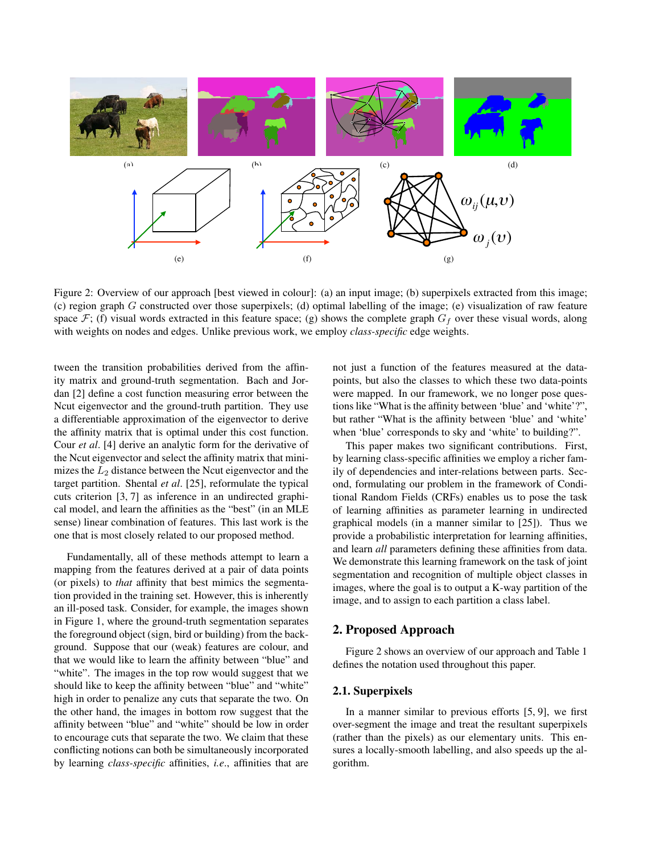

(c) region graph G constructed over those superpixels; (d) optimal labelling of the image; (e) visualization of raw feature space  $\mathcal{F}$ ; (f) visual words extracted in this feature space; (g) shows the complete graph  $G$ Figure 2: Overview of our approach [best viewed in colour]: (a) an input image; (b) superpixels extracted from this image; (c) region graph  $G$  constructed over those superpixels; (d) optimal labelling of the image; (e) visualization of raw feature with weights on nodes and edges. Unlike previous work, we employ *class-specific* edge weights.

tween the transition probabilities derived from the affinity matrix and ground-truth segmentation. Bach and Jordan [2] define a cost function measuring error between the Ncut eigenvector and the ground-truth partition. They use a differentiable approximation of the eigenvector to derive the affinity matrix that is optimal under this cost function. Cour *et al*. [4] derive an analytic form for the derivative of the Ncut eigenvector and select the affinity matrix that minimizes the  $L_2$  distance between the Ncut eigenvector and the target partition. Shental *et al*. [25], reformulate the typical cuts criterion [3, 7] as inference in an undirected graphical model, and learn the affinities as the "best" (in an MLE sense) linear combination of features. This last work is the one that is most closely related to our proposed method.

Fundamentally, all of these methods attempt to learn a mapping from the features derived at a pair of data points (or pixels) to *that* affinity that best mimics the segmentation provided in the training set. However, this is inherently an ill-posed task. Consider, for example, the images shown in Figure 1, where the ground-truth segmentation separates the foreground object (sign, bird or building) from the background. Suppose that our (weak) features are colour, and that we would like to learn the affinity between "blue" and "white". The images in the top row would suggest that we should like to keep the affinity between "blue" and "white" high in order to penalize any cuts that separate the two. On the other hand, the images in bottom row suggest that the affinity between "blue" and "white" should be low in order to encourage cuts that separate the two. We claim that these conflicting notions can both be simultaneously incorporated by learning *class-specific* affinities, *i.e*., affinities that are not just a function of the features measured at the datapoints, but also the classes to which these two data-points were mapped. In our framework, we no longer pose questions like "What is the affinity between 'blue' and 'white'?", but rather "What is the affinity between 'blue' and 'white' when 'blue' corresponds to sky and 'white' to building?".

This paper makes two significant contributions. First, by learning class-specific affinities we employ a richer family of dependencies and inter-relations between parts. Second, formulating our problem in the framework of Conditional Random Fields (CRFs) enables us to pose the task of learning affinities as parameter learning in undirected graphical models (in a manner similar to [25]). Thus we provide a probabilistic interpretation for learning affinities, and learn *all* parameters defining these affinities from data. We demonstrate this learning framework on the task of joint segmentation and recognition of multiple object classes in images, where the goal is to output a K-way partition of the image, and to assign to each partition a class label.

### 2. Proposed Approach

Figure 2 shows an overview of our approach and Table 1 defines the notation used throughout this paper.

### 2.1. Superpixels

In a manner similar to previous efforts [5, 9], we first over-segment the image and treat the resultant superpixels (rather than the pixels) as our elementary units. This ensures a locally-smooth labelling, and also speeds up the algorithm.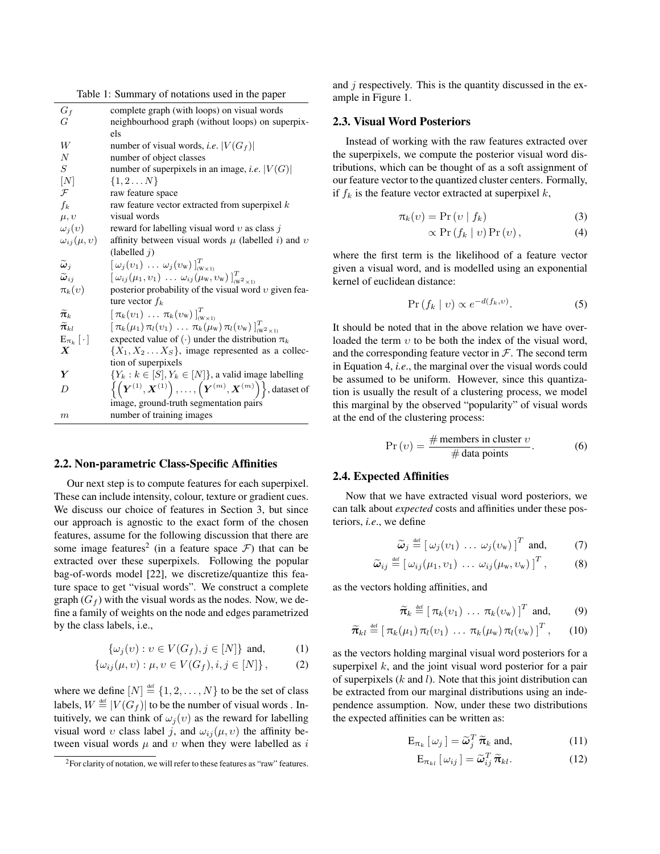|  |  | Table 1: Summary of notations used in the paper |  |  |  |
|--|--|-------------------------------------------------|--|--|--|
|--|--|-------------------------------------------------|--|--|--|

| $G_f$                               | complete graph (with loops) on visual words                                                                                                        |
|-------------------------------------|----------------------------------------------------------------------------------------------------------------------------------------------------|
| G                                   | neighbourhood graph (without loops) on superpix-                                                                                                   |
|                                     | els                                                                                                                                                |
| W                                   | number of visual words, <i>i.e.</i> $ V(G_f) $                                                                                                     |
| $\boldsymbol{N}$                    | number of object classes                                                                                                                           |
| $\,S$                               | number of superpixels in an image, <i>i.e.</i> $ V(G) $                                                                                            |
| [N]                                 | $\{1, 2 \ldots N\}$                                                                                                                                |
| $\mathcal F$                        | raw feature space                                                                                                                                  |
| $f_k$                               | raw feature vector extracted from superpixel $k$                                                                                                   |
| $\mu, \nu$                          | visual words                                                                                                                                       |
| $\omega_i(v)$                       | reward for labelling visual word $v$ as class $\dot{\eta}$                                                                                         |
| $\omega_{ij}(\mu, v)$               | affinity between visual words $\mu$ (labelled i) and v                                                                                             |
|                                     | (labelled $\dot{\eta}$ )                                                                                                                           |
| $\tilde{\bm{\omega}}_j$             | $[\omega_j(v_1) \dots \omega_j(v_w)]_{w \times v}^T$                                                                                               |
| $\tilde{\omega}_{ij}$               | $[\omega_{ij}(\mu_1, v_1) \dots \omega_{ij}(\mu_w, v_w)]_{\omega_{\chi}}^T$                                                                        |
| $\pi_k(v)$                          | posterior probability of the visual word $v$ given fea-                                                                                            |
|                                     | ture vector $f_k$                                                                                                                                  |
| $\tilde{\pi}_k$                     | $[\pi_k(v_1) \dots \pi_k(v_w)]_{w \times v}^T$                                                                                                     |
| $\widetilde{\boldsymbol{\pi}}_{kl}$ | $[\pi_k(\mu_1)\pi_l(v_1)\ldots\pi_k(\mu_w)\pi_l(v_w)]_{w^2\times w}^T$                                                                             |
| $E_{\pi_k}[\cdot]$                  | expected value of ( $\cdot$ ) under the distribution $\pi_k$                                                                                       |
| $\boldsymbol{X}$                    | $\{X_1, X_2 \ldots X_S\}$ , image represented as a collec-                                                                                         |
|                                     | tion of superpixels                                                                                                                                |
| Y                                   | ${Y_k : k \in [S], Y_k \in [N]}$ , a valid image labelling                                                                                         |
| D                                   | $\left\{\left(\boldsymbol{Y}^{(1)},\boldsymbol{X}^{(1)}\right),\ldots,\left(\boldsymbol{Y}^{(m)},\boldsymbol{X}^{(m)}\right)\right\}$ , dataset of |
|                                     | image, ground-truth segmentation pairs                                                                                                             |
| $m\,$                               | number of training images                                                                                                                          |

#### 2.2. Non-parametric Class-Specific Affinities

Our next step is to compute features for each superpixel. These can include intensity, colour, texture or gradient cues. We discuss our choice of features in Section 3, but since our approach is agnostic to the exact form of the chosen features, assume for the following discussion that there are some image features<sup>2</sup> (in a feature space  $\mathcal{F}$ ) that can be extracted over these superpixels. Following the popular bag-of-words model [22], we discretize/quantize this feature space to get "visual words". We construct a complete graph  $(G_f)$  with the visual words as the nodes. Now, we define a family of weights on the node and edges parametrized by the class labels, i.e.,

$$
\{\omega_j(v) : v \in V(G_f), j \in [N]\} \text{ and, } (1)
$$

$$
\{\omega_{ij}(\mu, v) : \mu, v \in V(G_f), i, j \in [N]\},\tag{2}
$$

where we define  $[N] \stackrel{\text{def}}{=} \{1, 2, ..., N\}$  to be the set of class labels,  $W \stackrel{\text{\tiny def}}{=} |V(G_f)|$  to be the number of visual words . Intuitively, we can think of  $\omega_i(v)$  as the reward for labelling visual word v class label j, and  $\omega_{ij}(\mu, v)$  the affinity between visual words  $\mu$  and  $\nu$  when they were labelled as i and  $i$  respectively. This is the quantity discussed in the example in Figure 1.

#### 2.3. Visual Word Posteriors

Instead of working with the raw features extracted over the superpixels, we compute the posterior visual word distributions, which can be thought of as a soft assignment of our feature vector to the quantized cluster centers. Formally, if  $f_k$  is the feature vector extracted at superpixel k,

$$
\pi_k(v) = \Pr(v \mid f_k) \tag{3}
$$

$$
\propto \Pr(f_k | v) \Pr(v), \tag{4}
$$

where the first term is the likelihood of a feature vector given a visual word, and is modelled using an exponential kernel of euclidean distance:

$$
\Pr(f_k \mid v) \propto e^{-d(f_k, v)}.\tag{5}
$$

It should be noted that in the above relation we have overloaded the term  $v$  to be both the index of the visual word, and the corresponding feature vector in  $\mathcal F$ . The second term in Equation 4, *i.e*., the marginal over the visual words could be assumed to be uniform. However, since this quantization is usually the result of a clustering process, we model this marginal by the observed "popularity" of visual words at the end of the clustering process:

$$
Pr(v) = \frac{\text{\# members in cluster } v}{\text{\# data points}}.
$$
 (6)

#### 2.4. Expected Affinities

Now that we have extracted visual word posteriors, we can talk about *expected* costs and affinities under these posteriors, *i.e*., we define

$$
\widetilde{\omega}_j \stackrel{\text{def}}{=} \left[ \omega_j(v_1) \dots \omega_j(v_w) \right]^T \text{ and,}
$$
 (7)

$$
\widetilde{\boldsymbol{\omega}}_{ij} \stackrel{\text{def}}{=} \left[ \omega_{ij}(\mu_1, \nu_1) \ldots \omega_{ij}(\mu_w, \nu_w) \right]^T, \tag{8}
$$

as the vectors holding affinities, and

$$
\widetilde{\boldsymbol{\pi}}_k \stackrel{\text{def}}{=} \left[ \pi_k(v_1) \ \dots \ \pi_k(v_w) \right]^T \text{ and,} \tag{9}
$$

$$
\widetilde{\boldsymbol{\pi}}_{kl} \stackrel{\text{def}}{=} \left[ \pi_k(\mu_1) \pi_l(v_1) \ldots \pi_k(\mu_w) \pi_l(v_w) \right]^T, \qquad (10)
$$

as the vectors holding marginal visual word posteriors for a superpixel  $k$ , and the joint visual word posterior for a pair of superpixels  $(k \text{ and } l)$ . Note that this joint distribution can be extracted from our marginal distributions using an independence assumption. Now, under these two distributions the expected affinities can be written as:

$$
\mathbf{E}_{\pi_k} \left[ \omega_j \right] = \widetilde{\boldsymbol{\omega}}_j^T \widetilde{\boldsymbol{\pi}}_k \text{ and,}
$$
 (11)

$$
\mathbf{E}_{\pi_{kl}}\left[\omega_{ij}\right] = \widetilde{\boldsymbol{\omega}}_{ij}^T \widetilde{\pi}_{kl}.
$$
 (12)

 $2F$ or clarity of notation, we will refer to these features as "raw" features.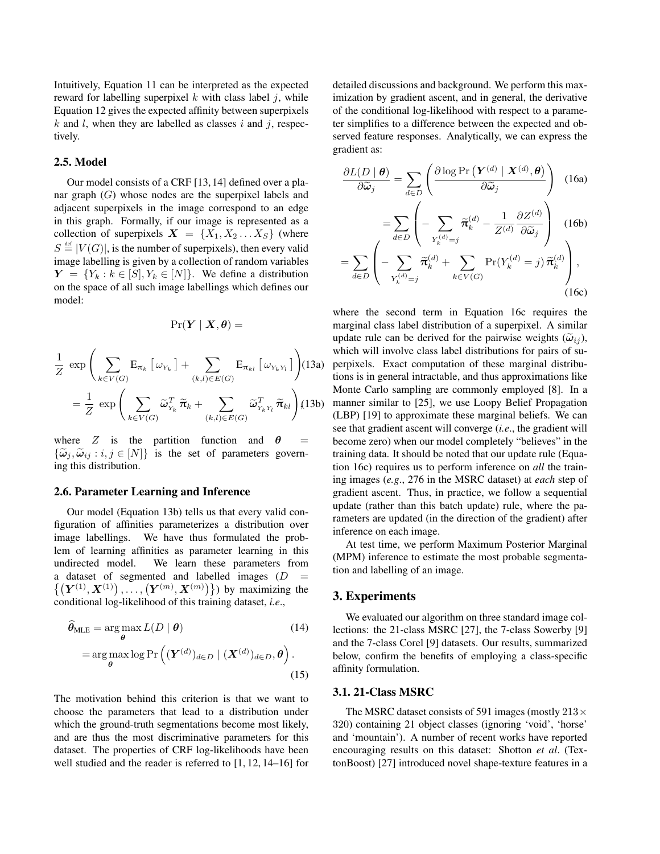Intuitively, Equation 11 can be interpreted as the expected reward for labelling superpixel  $k$  with class label  $j$ , while Equation 12 gives the expected affinity between superpixels  $k$  and  $l$ , when they are labelled as classes  $i$  and  $j$ , respectively.

#### 2.5. Model

Our model consists of a CRF [13, 14] defined over a planar graph  $(G)$  whose nodes are the superpixel labels and adjacent superpixels in the image correspond to an edge in this graph. Formally, if our image is represented as a collection of superpixels  $X = \{X_1, X_2, \ldots X_S\}$  (where  $S \stackrel{\text{def}}{=} |V(G)|$ , is the number of superpixels), then every valid image labelling is given by a collection of random variables  $Y = \{Y_k : k \in [S], Y_k \in [N]\}.$  We define a distribution on the space of all such image labellings which defines our model:

$$
\Pr(\boldsymbol{Y} \mid \boldsymbol{X}, \boldsymbol{\theta}) =
$$

$$
\frac{1}{Z} \exp\left(\sum_{k \in V(G)} \mathbf{E}_{\pi_k} \left[\omega_{Y_k}\right] + \sum_{(k,l) \in E(G)} \mathbf{E}_{\pi_{kl}} \left[\omega_{Y_k Y_l}\right]\right) (13a)
$$
\n
$$
= \frac{1}{Z} \exp\left(\sum_{k \in V(G)} \widetilde{\omega}_{Y_k}^T \widetilde{\pi}_k + \sum_{(k,l) \in E(G)} \widetilde{\omega}_{Y_k Y_l}^T \widetilde{\pi}_{kl}\right) (13b)
$$

where Z is the partition function and  $\theta$  =  $\{\widetilde{\omega}_j, \widetilde{\omega}_{ij} : i, j \in [N]\}$  is the set of parameters governing this distribution.

#### 2.6. Parameter Learning and Inference

Our model (Equation 13b) tells us that every valid configuration of affinities parameterizes a distribution over image labellings. We have thus formulated the problem of learning affinities as parameter learning in this undirected model. We learn these parameters from a dataset of segmented and labelled images  $(D =$  $\{(\bm{Y}^{(1)}, \bm{X}^{(1)})\}, \ldots, (\bm{Y}^{(m)}, \bm{X}^{(m)})\})$  by maximizing the conditional log-likelihood of this training dataset, *i.e*.,

$$
\hat{\theta}_{MLE} = \underset{\theta}{\arg\max} L(D | \theta)
$$
\n
$$
= \underset{\theta}{\arg\max} \log \Pr\left( (\boldsymbol{Y}^{(d)})_{d \in D} | (\boldsymbol{X}^{(d)})_{d \in D}, \theta \right). \tag{15}
$$

The motivation behind this criterion is that we want to choose the parameters that lead to a distribution under which the ground-truth segmentations become most likely, and are thus the most discriminative parameters for this dataset. The properties of CRF log-likelihoods have been well studied and the reader is referred to [1, 12, 14–16] for detailed discussions and background. We perform this maximization by gradient ascent, and in general, the derivative of the conditional log-likelihood with respect to a parameter simplifies to a difference between the expected and observed feature responses. Analytically, we can express the gradient as:

$$
\frac{\partial L(D \mid \boldsymbol{\theta})}{\partial \widetilde{\boldsymbol{\omega}}_j} = \sum_{d \in D} \left( \frac{\partial \log \Pr \left( \boldsymbol{Y}^{(d)} \mid \boldsymbol{X}^{(d)}, \boldsymbol{\theta} \right)}{\partial \widetilde{\boldsymbol{\omega}}_j} \right) \tag{16a}
$$

$$
= \sum_{d \in D} \left( -\sum_{Y_k^{(d)}=j} \widetilde{\pi}_k^{(d)} - \frac{1}{Z^{(d)}} \frac{\partial Z^{(d)}}{\partial \widetilde{\omega}_j} \right) (16b)
$$

$$
= \sum_{d \in D} \left( -\sum_{Y_k^{(d)}=j} \widetilde{\pi}_k^{(d)} + \sum_{k \in V(G)} \Pr(Y_k^{(d)}=j) \widetilde{\pi}_k^{(d)} \right), \tag{16c}
$$

where the second term in Equation 16c requires the marginal class label distribution of a superpixel. A similar update rule can be derived for the pairwise weights  $(\widetilde{\omega}_{ij})$ , which will involve class label distributions for pairs of superpixels. Exact computation of these marginal distributions is in general intractable, and thus approximations like Monte Carlo sampling are commonly employed [8]. In a manner similar to [25], we use Loopy Belief Propagation (LBP) [19] to approximate these marginal beliefs. We can see that gradient ascent will converge (*i.e*., the gradient will become zero) when our model completely "believes" in the training data. It should be noted that our update rule (Equation 16c) requires us to perform inference on *all* the training images (*e.g*., 276 in the MSRC dataset) at *each* step of gradient ascent. Thus, in practice, we follow a sequential update (rather than this batch update) rule, where the parameters are updated (in the direction of the gradient) after inference on each image.

At test time, we perform Maximum Posterior Marginal (MPM) inference to estimate the most probable segmentation and labelling of an image.

#### 3. Experiments

We evaluated our algorithm on three standard image collections: the 21-class MSRC [27], the 7-class Sowerby [9] and the 7-class Corel [9] datasets. Our results, summarized below, confirm the benefits of employing a class-specific affinity formulation.

#### 3.1. 21-Class MSRC

The MSRC dataset consists of 591 images (mostly  $213 \times$ 320) containing 21 object classes (ignoring 'void', 'horse' and 'mountain'). A number of recent works have reported encouraging results on this dataset: Shotton *et al*. (TextonBoost) [27] introduced novel shape-texture features in a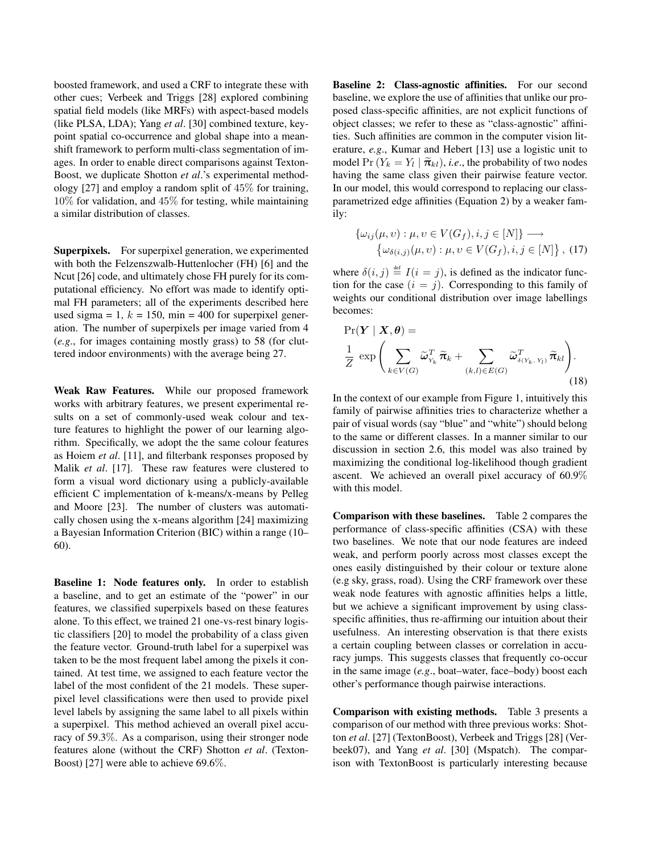boosted framework, and used a CRF to integrate these with other cues; Verbeek and Triggs [28] explored combining spatial field models (like MRFs) with aspect-based models (like PLSA, LDA); Yang *et al*. [30] combined texture, keypoint spatial co-occurrence and global shape into a meanshift framework to perform multi-class segmentation of images. In order to enable direct comparisons against Texton-Boost, we duplicate Shotton *et al*.'s experimental methodology [27] and employ a random split of 45% for training, 10% for validation, and 45% for testing, while maintaining a similar distribution of classes.

Superpixels. For superpixel generation, we experimented with both the Felzenszwalb-Huttenlocher (FH) [6] and the Ncut [26] code, and ultimately chose FH purely for its computational efficiency. No effort was made to identify optimal FH parameters; all of the experiments described here used sigma = 1,  $k = 150$ , min = 400 for superpixel generation. The number of superpixels per image varied from 4 (*e.g*., for images containing mostly grass) to 58 (for cluttered indoor environments) with the average being 27.

Weak Raw Features. While our proposed framework works with arbitrary features, we present experimental results on a set of commonly-used weak colour and texture features to highlight the power of our learning algorithm. Specifically, we adopt the the same colour features as Hoiem *et al*. [11], and filterbank responses proposed by Malik *et al*. [17]. These raw features were clustered to form a visual word dictionary using a publicly-available efficient C implementation of k-means/x-means by Pelleg and Moore [23]. The number of clusters was automatically chosen using the x-means algorithm [24] maximizing a Bayesian Information Criterion (BIC) within a range (10– 60).

Baseline 1: Node features only. In order to establish a baseline, and to get an estimate of the "power" in our features, we classified superpixels based on these features alone. To this effect, we trained 21 one-vs-rest binary logistic classifiers [20] to model the probability of a class given the feature vector. Ground-truth label for a superpixel was taken to be the most frequent label among the pixels it contained. At test time, we assigned to each feature vector the label of the most confident of the 21 models. These superpixel level classifications were then used to provide pixel level labels by assigning the same label to all pixels within a superpixel. This method achieved an overall pixel accuracy of 59.3%. As a comparison, using their stronger node features alone (without the CRF) Shotton *et al*. (Texton-Boost) [27] were able to achieve 69.6%.

Baseline 2: Class-agnostic affinities. For our second baseline, we explore the use of affinities that unlike our proposed class-specific affinities, are not explicit functions of object classes; we refer to these as "class-agnostic" affinities. Such affinities are common in the computer vision literature, *e.g*., Kumar and Hebert [13] use a logistic unit to model  $Pr(Y_k = Y_l | \tilde{\pi}_{kl}),$  *i.e.*, the probability of two nodes<br>having the same along given their pointing feeture vector. having the same class given their pairwise feature vector. In our model, this would correspond to replacing our classparametrized edge affinities (Equation 2) by a weaker family:

$$
\{\omega_{ij}(\mu, v) : \mu, v \in V(G_f), i, j \in [N]\} \longrightarrow
$$

$$
\{\omega_{\delta(i,j)}(\mu, v) : \mu, v \in V(G_f), i, j \in [N]\}, (17)
$$

where  $\delta(i, j) \stackrel{\text{def}}{=} I(i = j)$ , is defined as the indicator function for the case  $(i = j)$ . Corresponding to this family of weights our conditional distribution over image labellings becomes:

$$
\Pr(\boldsymbol{Y} \mid \boldsymbol{X}, \boldsymbol{\theta}) = \frac{1}{Z} \exp \left( \sum_{k \in V(G)} \widetilde{\boldsymbol{\omega}}_{\gamma_k}^T \widetilde{\boldsymbol{\pi}}_k + \sum_{(k,l) \in E(G)} \widetilde{\boldsymbol{\omega}}_{\delta(\gamma_k, \gamma_l)}^T \widetilde{\boldsymbol{\pi}}_{kl} \right).
$$
\n(18)

In the context of our example from Figure 1, intuitively this family of pairwise affinities tries to characterize whether a pair of visual words (say "blue" and "white") should belong to the same or different classes. In a manner similar to our discussion in section 2.6, this model was also trained by maximizing the conditional log-likelihood though gradient ascent. We achieved an overall pixel accuracy of 60.9% with this model.

Comparison with these baselines. Table 2 compares the performance of class-specific affinities (CSA) with these two baselines. We note that our node features are indeed weak, and perform poorly across most classes except the ones easily distinguished by their colour or texture alone (e.g sky, grass, road). Using the CRF framework over these weak node features with agnostic affinities helps a little, but we achieve a significant improvement by using classspecific affinities, thus re-affirming our intuition about their usefulness. An interesting observation is that there exists a certain coupling between classes or correlation in accuracy jumps. This suggests classes that frequently co-occur in the same image (*e.g*., boat–water, face–body) boost each other's performance though pairwise interactions.

Comparison with existing methods. Table 3 presents a comparison of our method with three previous works: Shotton *et al*. [27] (TextonBoost), Verbeek and Triggs [28] (Verbeek07), and Yang *et al*. [30] (Mspatch). The comparison with TextonBoost is particularly interesting because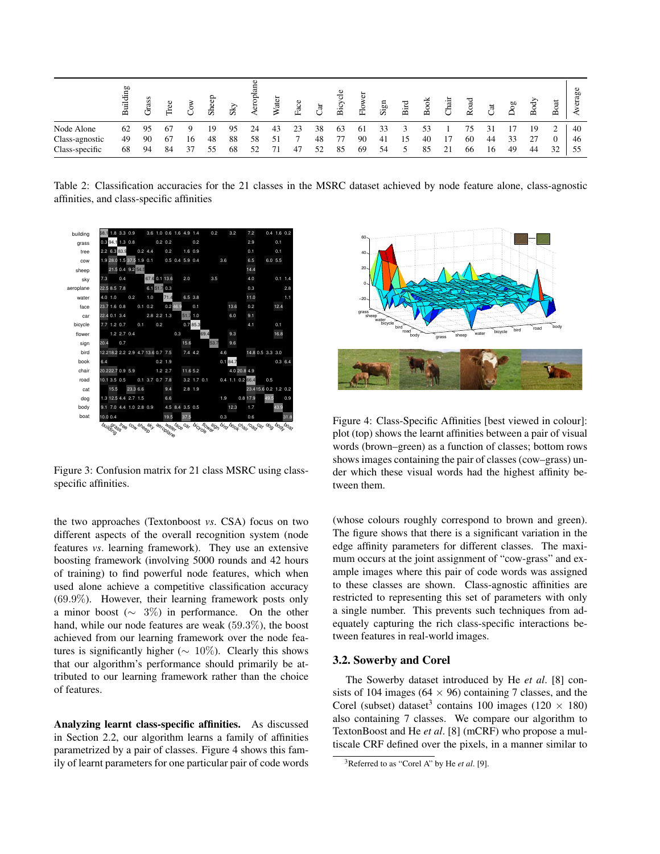|                | Building | SS<br>ದ<br>$\overline{ }$ | <b>Tree</b> |    | ಕ್<br>She | $S_N$ | Δer | Water | ರಿ<br>£ã | ්  | ≗<br>Bicy | Flow | Sign | Bird | ${\bf Book}$ | Chair | Road | $\vec{c}$ | Dog | ਰੇ<br>Ď | oat<br>∞ | verage |
|----------------|----------|---------------------------|-------------|----|-----------|-------|-----|-------|----------|----|-----------|------|------|------|--------------|-------|------|-----------|-----|---------|----------|--------|
| Node Alone     | 62       | 95                        | 67          |    | 19        | 95    | 24  | 43    | 23       | 38 | 63        | -61  | 33   |      | 53           |       | 75   |           |     | 19      | C        | 40     |
| Class-agnostic | 49       | 90                        | 67          | 16 | 48        | 88    | 58  | 51    |          | 48 | 77        | 90   | 41   | 15   | 40           | 17    | 60   | 44        | 33  | 27      | $\theta$ | 46     |
| Class-specific | 68       | 94                        | 84          | 37 | 55        | 68    | 52  | 71    | 47       | 52 | 85        | 69   | 54   |      | 85           | 21    | 66   | 16        | 49  | 44      | 32       | 55     |

Table 2: Classification accuracies for the 21 classes in the MSRC dataset achieved by node feature alone, class-agnostic affinities, and class-specific affinities



Figure 3: Confusion matrix for 21 class MSRC using classspecific affinities.

the two approaches (Textonboost *vs*. CSA) focus on two different aspects of the overall recognition system (node features *vs*. learning framework). They use an extensive boosting framework (involving 5000 rounds and 42 hours of training) to find powerful node features, which when used alone achieve a competitive classification accuracy (69.9%). However, their learning framework posts only a minor boost ( $\sim$  3%) in performance. On the other hand, while our node features are weak (59.3%), the boost achieved from our learning framework over the node features is significantly higher ( $\sim 10\%$ ). Clearly this shows that our algorithm's performance should primarily be attributed to our learning framework rather than the choice of features.

Analyzing learnt class-specific affinities. As discussed in Section 2.2, our algorithm learns a family of affinities parametrized by a pair of classes. Figure 4 shows this family of learnt parameters for one particular pair of code words



Figure 4: Class-Specific Affinities [best viewed in colour]: plot (top) shows the learnt affinities between a pair of visual words (brown–green) as a function of classes; bottom rows shows images containing the pair of classes (cow–grass) under which these visual words had the highest affinity between them.

(whose colours roughly correspond to brown and green). The figure shows that there is a significant variation in the edge affinity parameters for different classes. The maximum occurs at the joint assignment of "cow-grass" and example images where this pair of code words was assigned to these classes are shown. Class-agnostic affinities are restricted to representing this set of parameters with only a single number. This prevents such techniques from adequately capturing the rich class-specific interactions between features in real-world images.

#### 3.2. Sowerby and Corel

The Sowerby dataset introduced by He *et al*. [8] consists of 104 images ( $64 \times 96$ ) containing 7 classes, and the Corel (subset) dataset<sup>3</sup> contains 100 images (120  $\times$  180) also containing 7 classes. We compare our algorithm to TextonBoost and He *et al*. [8] (mCRF) who propose a multiscale CRF defined over the pixels, in a manner similar to

<sup>3</sup>Referred to as "Corel A" by He *et al*. [9].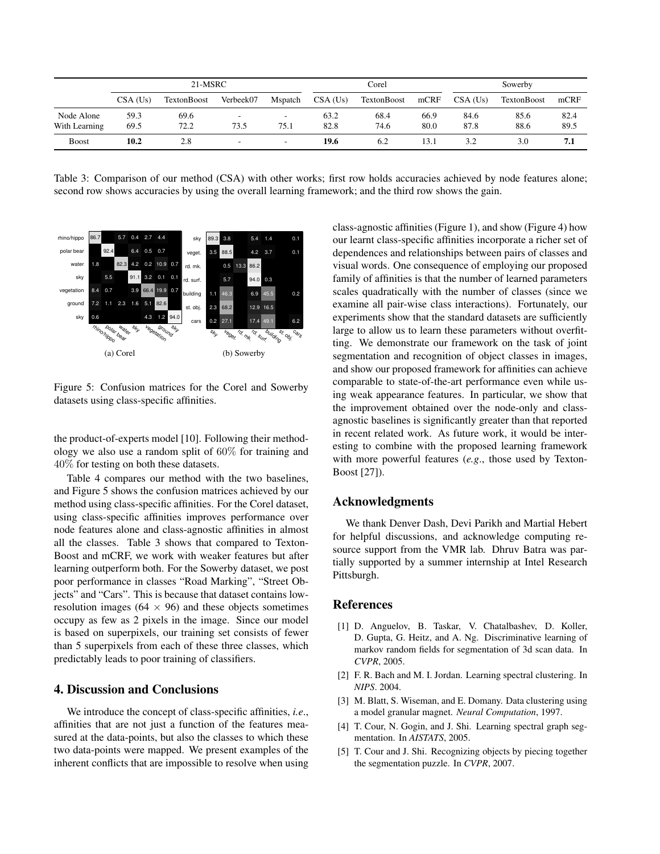|                             |              | 21-MSRC            |           |                                  |              | Corel        |              | Sowerby      |                    |              |  |  |
|-----------------------------|--------------|--------------------|-----------|----------------------------------|--------------|--------------|--------------|--------------|--------------------|--------------|--|--|
|                             | $CSA$ (Us)   | <b>TextonBoost</b> | Verbeek07 | Mspatch                          | CSA (Us)     | TextonBoost  | mCRF         | CSA (Us)     | <b>TextonBoost</b> | mCRF         |  |  |
| Node Alone<br>With Learning | 59.3<br>69.5 | 69.6<br>72.2       | -<br>73.5 | $\overline{\phantom{a}}$<br>75.1 | 63.2<br>82.8 | 68.4<br>74.6 | 66.9<br>80.0 | 84.6<br>87.8 | 85.6<br>88.6       | 82.4<br>89.5 |  |  |
| <b>Boost</b>                | 10.2         | 2.8                |           | $\overline{\phantom{a}}$         | 19.6         | 6.2          | 13.1         | 3.2          | 3.0                | 7.1          |  |  |

Table 3: Comparison of our method (CSA) with other works; first row holds accuracies achieved by node features alone; second row shows accuracies by using the overall learning framework; and the third row shows the gain.



Figure 5: Confusion matrices for the Corel and Sowerby datasets using class-specific affinities.

the product-of-experts model [10]. Following their methodology we also use a random split of 60% for training and 40% for testing on both these datasets.

Table 4 compares our method with the two baselines, and Figure 5 shows the confusion matrices achieved by our method using class-specific affinities. For the Corel dataset, using class-specific affinities improves performance over node features alone and class-agnostic affinities in almost all the classes. Table 3 shows that compared to Texton-Boost and mCRF, we work with weaker features but after learning outperform both. For the Sowerby dataset, we post poor performance in classes "Road Marking", "Street Objects" and "Cars". This is because that dataset contains lowresolution images ( $64 \times 96$ ) and these objects sometimes occupy as few as 2 pixels in the image. Since our model is based on superpixels, our training set consists of fewer than 5 superpixels from each of these three classes, which predictably leads to poor training of classifiers.

# 4. Discussion and Conclusions

We introduce the concept of class-specific affinities, *i.e*., affinities that are not just a function of the features measured at the data-points, but also the classes to which these two data-points were mapped. We present examples of the inherent conflicts that are impossible to resolve when using class-agnostic affinities (Figure 1), and show (Figure 4) how our learnt class-specific affinities incorporate a richer set of dependences and relationships between pairs of classes and visual words. One consequence of employing our proposed family of affinities is that the number of learned parameters scales quadratically with the number of classes (since we examine all pair-wise class interactions). Fortunately, our experiments show that the standard datasets are sufficiently large to allow us to learn these parameters without overfitting. We demonstrate our framework on the task of joint segmentation and recognition of object classes in images, and show our proposed framework for affinities can achieve comparable to state-of-the-art performance even while using weak appearance features. In particular, we show that the improvement obtained over the node-only and classagnostic baselines is significantly greater than that reported in recent related work. As future work, it would be interesting to combine with the proposed learning framework with more powerful features (*e.g*., those used by Texton-Boost [27]).

## Acknowledgments

We thank Denver Dash, Devi Parikh and Martial Hebert for helpful discussions, and acknowledge computing resource support from the VMR lab. Dhruv Batra was partially supported by a summer internship at Intel Research Pittsburgh.

### References

- [1] D. Anguelov, B. Taskar, V. Chatalbashev, D. Koller, D. Gupta, G. Heitz, and A. Ng. Discriminative learning of markov random fields for segmentation of 3d scan data. In *CVPR*, 2005.
- [2] F. R. Bach and M. I. Jordan. Learning spectral clustering. In *NIPS*. 2004.
- [3] M. Blatt, S. Wiseman, and E. Domany. Data clustering using a model granular magnet. *Neural Computation*, 1997.
- [4] T. Cour, N. Gogin, and J. Shi. Learning spectral graph segmentation. In *AISTATS*, 2005.
- [5] T. Cour and J. Shi. Recognizing objects by piecing together the segmentation puzzle. In *CVPR*, 2007.